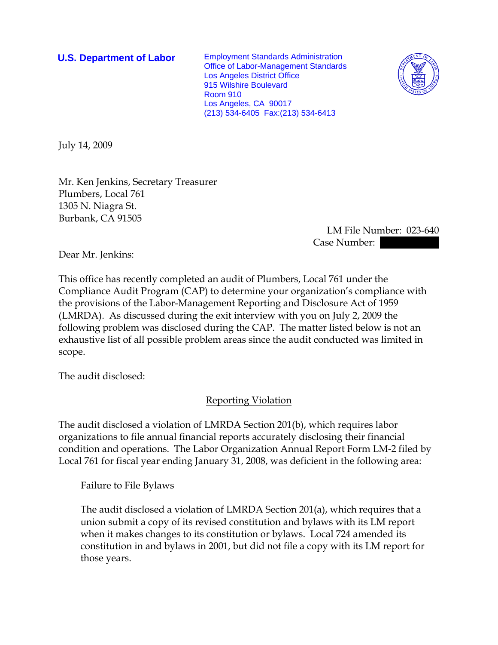**U.S. Department of Labor** Employment Standards Administration Office of Labor-Management Standards Los Angeles District Office 915 Wilshire Boulevard Room 910 Los Angeles, CA 90017 (213) 534-6405 Fax:(213) 534-6413



July 14, 2009

Mr. Ken Jenkins, Secretary Treasurer Plumbers, Local 761 1305 N. Niagra St. Burbank, CA 91505

> LM File Number: 023-640 Case Number:

Dear Mr. Jenkins:

This office has recently completed an audit of Plumbers, Local 761 under the Compliance Audit Program (CAP) to determine your organization's compliance with the provisions of the Labor-Management Reporting and Disclosure Act of 1959 (LMRDA). As discussed during the exit interview with you on July 2, 2009 the following problem was disclosed during the CAP. The matter listed below is not an exhaustive list of all possible problem areas since the audit conducted was limited in scope.

The audit disclosed:

Reporting Violation

The audit disclosed a violation of LMRDA Section 201(b), which requires labor organizations to file annual financial reports accurately disclosing their financial condition and operations. The Labor Organization Annual Report Form LM-2 filed by Local 761 for fiscal year ending January 31, 2008, was deficient in the following area:

Failure to File Bylaws

The audit disclosed a violation of LMRDA Section 201(a), which requires that a union submit a copy of its revised constitution and bylaws with its LM report when it makes changes to its constitution or bylaws. Local 724 amended its constitution in and bylaws in 2001, but did not file a copy with its LM report for those years.